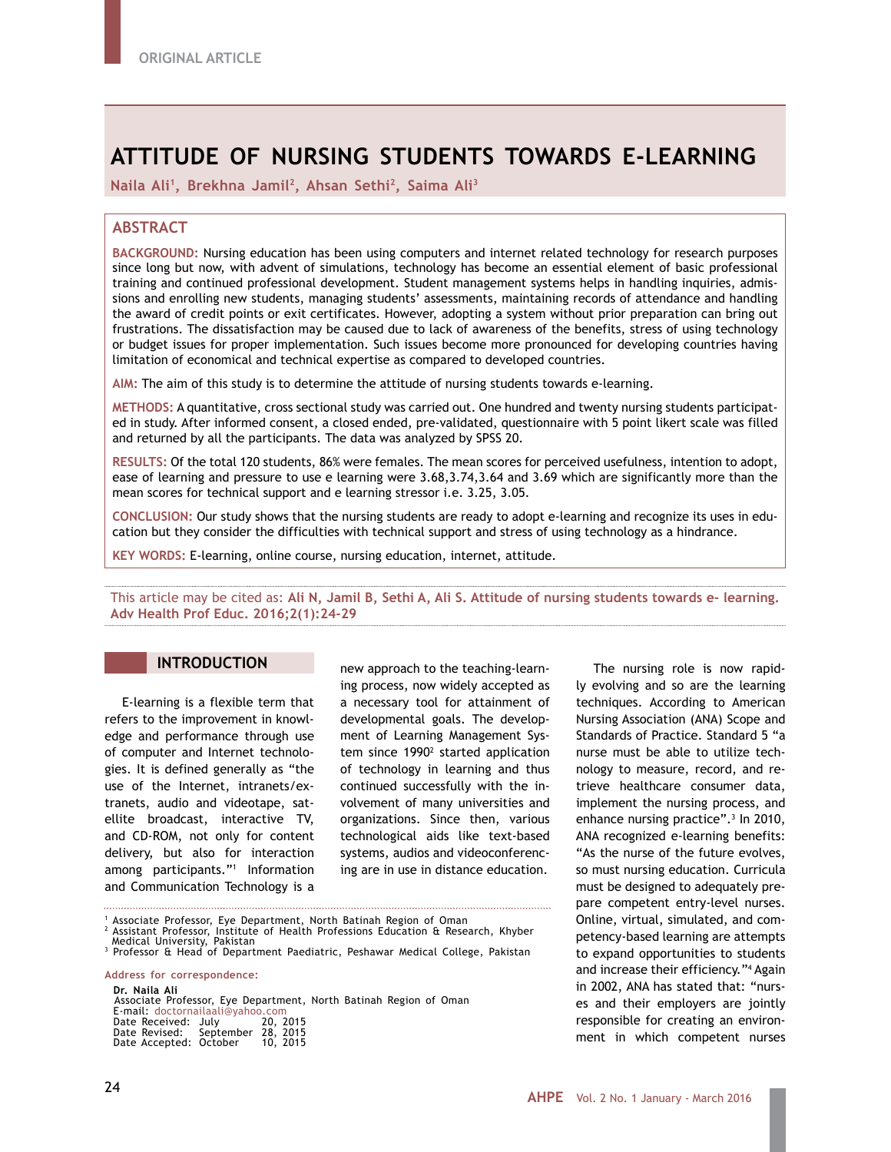# **ATTITUDE OF NURSING STUDENTS TOWARDS E-LEARNING**

**Naila Ali1, Brekhna Jamil2, Ahsan Sethi2, Saima Ali3** 

# **ABSTRACT**

**BACKGROUND:** Nursing education has been using computers and internet related technology for research purposes since long but now, with advent of simulations, technology has become an essential element of basic professional training and continued professional development. Student management systems helps in handling inquiries, admissions and enrolling new students, managing students' assessments, maintaining records of attendance and handling the award of credit points or exit certificates. However, adopting a system without prior preparation can bring out frustrations. The dissatisfaction may be caused due to lack of awareness of the benefits, stress of using technology or budget issues for proper implementation. Such issues become more pronounced for developing countries having limitation of economical and technical expertise as compared to developed countries.

**AIM:** The aim of this study is to determine the attitude of nursing students towards e-learning.

**METHODS:** A quantitative, cross sectional study was carried out. One hundred and twenty nursing students participated in study. After informed consent, a closed ended, pre-validated, questionnaire with 5 point likert scale was filled and returned by all the participants. The data was analyzed by SPSS 20.

**RESULTS:** Of the total 120 students, 86% were females. The mean scores for perceived usefulness, intention to adopt, ease of learning and pressure to use e learning were 3.68,3.74,3.64 and 3.69 which are significantly more than the mean scores for technical support and e learning stressor i.e. 3.25, 3.05.

**CONCLUSION:** Our study shows that the nursing students are ready to adopt e-learning and recognize its uses in education but they consider the difficulties with technical support and stress of using technology as a hindrance.

**KEY WORDS:** E-learning, online course, nursing education, internet, attitude.

This article may be cited as: **Ali N, Jamil B, Sethi A, Ali S. Attitude of nursing students towards e- learning. Adv Health Prof Educ. 2016;2(1):24-29**

# **INTRODUCTION**

E-learning is a flexible term that refers to the improvement in knowledge and performance through use of computer and Internet technologies. It is defined generally as "the use of the Internet, intranets/extranets, audio and videotape, satellite broadcast, interactive TV, and CD-ROM, not only for content delivery, but also for interaction among participants."1 Information and Communication Technology is a

new approach to the teaching-learning process, now widely accepted as a necessary tool for attainment of developmental goals. The development of Learning Management System since 1990<sup>2</sup> started application of technology in learning and thus continued successfully with the involvement of many universities and organizations. Since then, various technological aids like text-based systems, audios and videoconferencing are in use in distance education.

1 Associate Professor, Eye Department, North Batinah Region of Oman

<sup>2</sup> Assistant Professor, Institute of Health Professions Education & Research, Khyber<br>- Medical University, Pakistan<br><sup>3 </sup>Professor & Head of Department Paediatric, Peshawar Medical College, Pakistan <sup>3</sup> Professor & Head of Department Paediatric, Peshawar Medical College, Pakistan

**Address for correspondence: Dr. Naila Ali** Associate Professor, Eye Department, North Batinah Region of Oman E-mail: doctornailaali@yahoo.com Date Received: July 20, 2015 Date Revised: September 28, 2015 Date Accepted: October 10, 2015

The nursing role is now rapidly evolving and so are the learning techniques. According to American Nursing Association (ANA) Scope and Standards of Practice. Standard 5 "a nurse must be able to utilize technology to measure, record, and retrieve healthcare consumer data, implement the nursing process, and enhance nursing practice".<sup>3</sup> In 2010, ANA recognized e-learning benefits: "As the nurse of the future evolves, so must nursing education. Curricula must be designed to adequately prepare competent entry-level nurses. Online, virtual, simulated, and competency-based learning are attempts to expand opportunities to students and increase their efficiency."4 Again in 2002, ANA has stated that: "nurses and their employers are jointly responsible for creating an environment in which competent nurses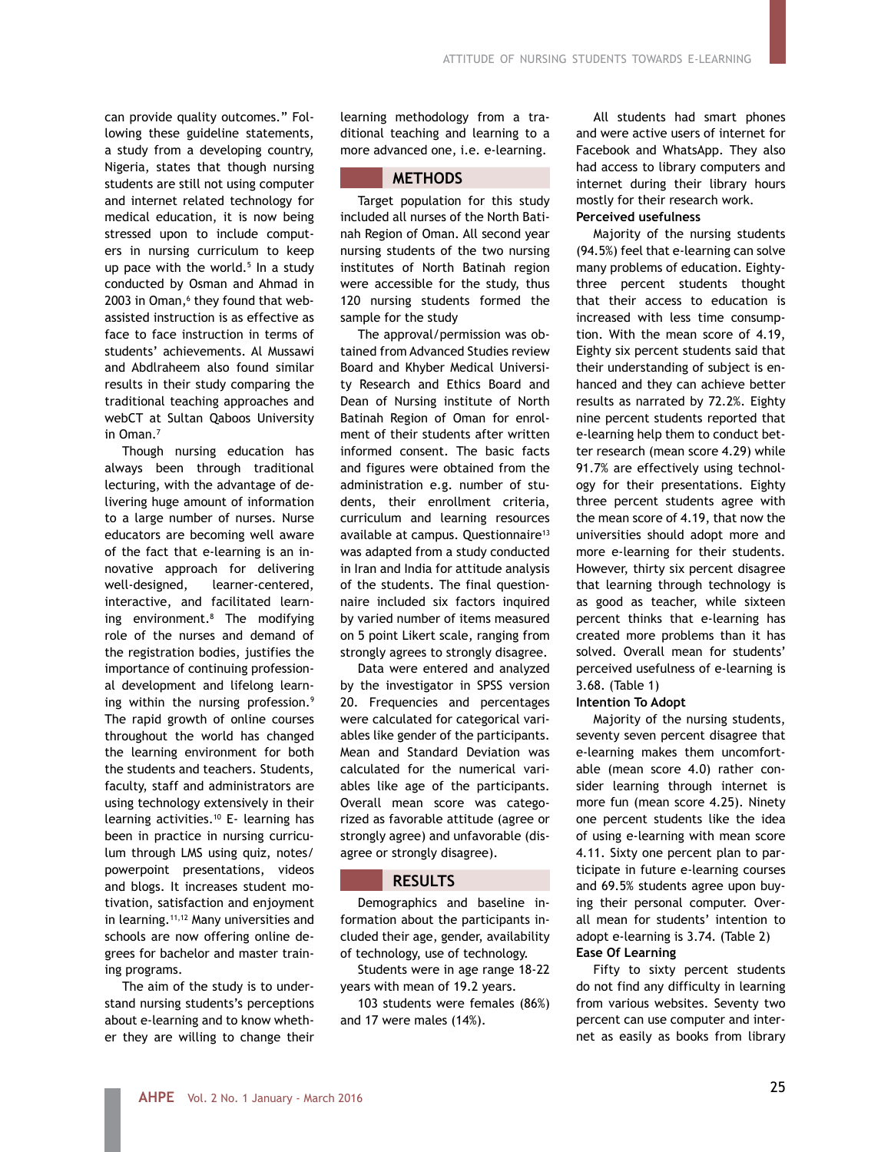can provide quality outcomes." Following these guideline statements, a study from a developing country, Nigeria, states that though nursing students are still not using computer and internet related technology for medical education, it is now being stressed upon to include computers in nursing curriculum to keep up pace with the world. $5$  In a study conducted by Osman and Ahmad in 2003 in Oman,<sup>6</sup> they found that webassisted instruction is as effective as face to face instruction in terms of students' achievements. Al Mussawi and Abdlraheem also found similar results in their study comparing the traditional teaching approaches and webCT at Sultan Qaboos University in Oman.7

Though nursing education has always been through traditional lecturing, with the advantage of delivering huge amount of information to a large number of nurses. Nurse educators are becoming well aware of the fact that e-learning is an innovative approach for delivering well-designed, learner-centered, interactive, and facilitated learning environment.8 The modifying role of the nurses and demand of the registration bodies, justifies the importance of continuing professional development and lifelong learning within the nursing profession.<sup>9</sup> The rapid growth of online courses throughout the world has changed the learning environment for both the students and teachers. Students, faculty, staff and administrators are using technology extensively in their learning activities.10 E- learning has been in practice in nursing curriculum through LMS using quiz, notes/ powerpoint presentations, videos and blogs. It increases student motivation, satisfaction and enjoyment in learning.<sup>11,12</sup> Many universities and schools are now offering online degrees for bachelor and master training programs.

The aim of the study is to understand nursing students's perceptions about e-learning and to know whether they are willing to change their learning methodology from a traditional teaching and learning to a more advanced one, i.e. e-learning.

# **METHODS**

Target population for this study included all nurses of the North Batinah Region of Oman. All second year nursing students of the two nursing institutes of North Batinah region were accessible for the study, thus 120 nursing students formed the sample for the study

The approval/permission was obtained from Advanced Studies review Board and Khyber Medical University Research and Ethics Board and Dean of Nursing institute of North Batinah Region of Oman for enrolment of their students after written informed consent. The basic facts and figures were obtained from the administration e.g. number of students, their enrollment criteria, curriculum and learning resources available at campus. Questionnaire<sup>13</sup> was adapted from a study conducted in Iran and India for attitude analysis of the students. The final questionnaire included six factors inquired by varied number of items measured on 5 point Likert scale, ranging from strongly agrees to strongly disagree.

Data were entered and analyzed by the investigator in SPSS version 20. Frequencies and percentages were calculated for categorical variables like gender of the participants. Mean and Standard Deviation was calculated for the numerical variables like age of the participants. Overall mean score was categorized as favorable attitude (agree or strongly agree) and unfavorable (disagree or strongly disagree).

# **RESULTS**

Demographics and baseline information about the participants included their age, gender, availability of technology, use of technology.

Students were in age range 18-22 years with mean of 19.2 years.

103 students were females (86%) and 17 were males (14%).

All students had smart phones and were active users of internet for Facebook and WhatsApp. They also had access to library computers and internet during their library hours mostly for their research work. **Perceived usefulness**

Majority of the nursing students (94.5%) feel that e-learning can solve many problems of education. Eightythree percent students thought that their access to education is increased with less time consumption. With the mean score of 4.19, Eighty six percent students said that their understanding of subject is enhanced and they can achieve better results as narrated by 72.2%. Eighty nine percent students reported that e-learning help them to conduct better research (mean score 4.29) while 91.7% are effectively using technology for their presentations. Eighty three percent students agree with the mean score of 4.19, that now the universities should adopt more and more e-learning for their students. However, thirty six percent disagree that learning through technology is as good as teacher, while sixteen percent thinks that e-learning has created more problems than it has solved. Overall mean for students' perceived usefulness of e-learning is 3.68. (Table 1)

#### **Intention To Adopt**

Majority of the nursing students, seventy seven percent disagree that e-learning makes them uncomfortable (mean score 4.0) rather consider learning through internet is more fun (mean score 4.25). Ninety one percent students like the idea of using e-learning with mean score 4.11. Sixty one percent plan to participate in future e-learning courses and 69.5% students agree upon buying their personal computer. Overall mean for students' intention to adopt e-learning is 3.74. (Table 2) **Ease Of Learning**

Fifty to sixty percent students

do not find any difficulty in learning from various websites. Seventy two percent can use computer and internet as easily as books from library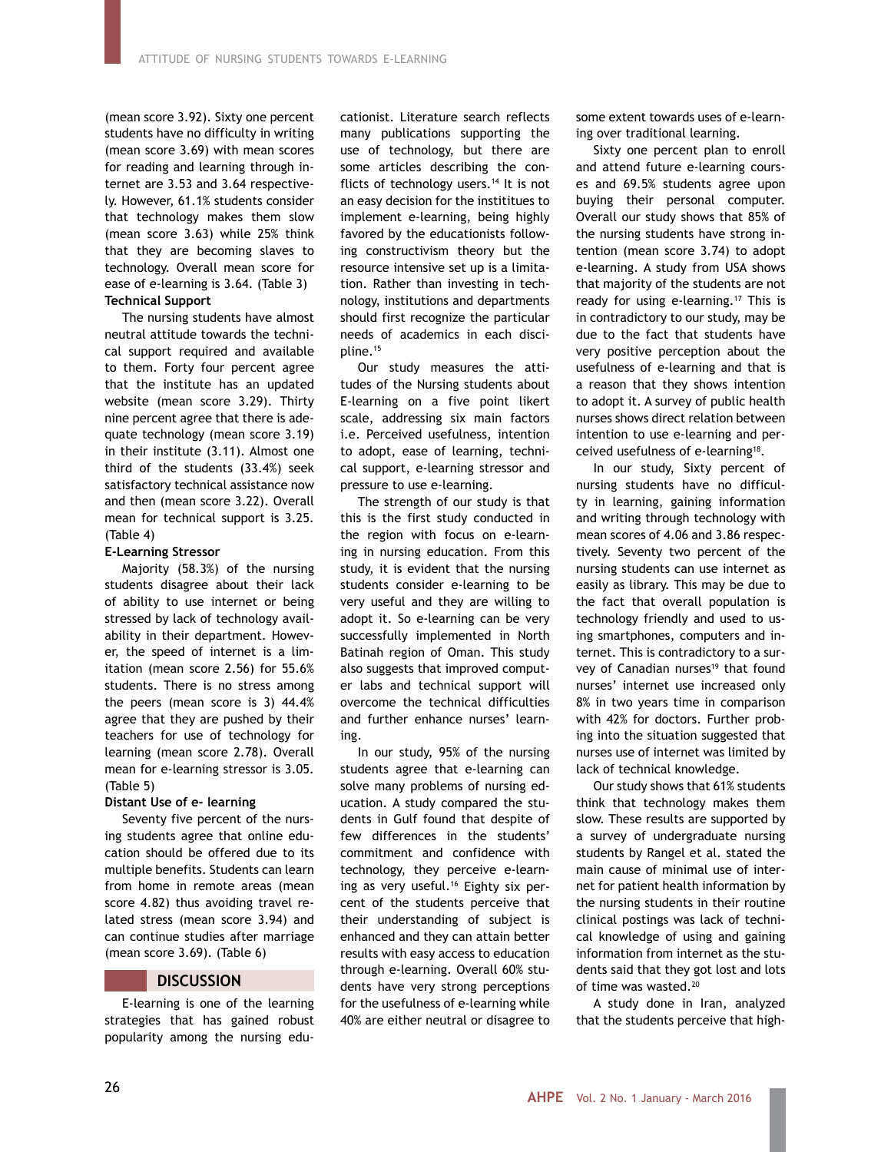(mean score 3.92). Sixty one percent students have no difficulty in writing (mean score 3.69) with mean scores for reading and learning through internet are 3.53 and 3.64 respectively. However, 61.1% students consider that technology makes them slow (mean score 3.63) while 25% think that they are becoming slaves to technology. Overall mean score for ease of e-learning is 3.64. (Table 3) **Technical Support**

The nursing students have almost neutral attitude towards the technical support required and available to them. Forty four percent agree that the institute has an updated website (mean score 3.29). Thirty nine percent agree that there is adequate technology (mean score 3.19) in their institute (3.11). Almost one third of the students (33.4%) seek satisfactory technical assistance now and then (mean score 3.22). Overall mean for technical support is 3.25. (Table 4)

#### **E-Learning Stressor**

Majority (58.3%) of the nursing students disagree about their lack of ability to use internet or being stressed by lack of technology availability in their department. However, the speed of internet is a limitation (mean score 2.56) for 55.6% students. There is no stress among the peers (mean score is 3) 44.4% agree that they are pushed by their teachers for use of technology for learning (mean score 2.78). Overall mean for e-learning stressor is 3.05. (Table 5)

#### **Distant Use of e- learning**

Seventy five percent of the nursing students agree that online education should be offered due to its multiple benefits. Students can learn from home in remote areas (mean score 4.82) thus avoiding travel related stress (mean score 3.94) and can continue studies after marriage (mean score 3.69). (Table 6)

## **DISCUSSION**

E-learning is one of the learning strategies that has gained robust popularity among the nursing educationist. Literature search reflects many publications supporting the use of technology, but there are some articles describing the conflicts of technology users.<sup>14</sup> It is not an easy decision for the instititues to implement e-learning, being highly favored by the educationists following constructivism theory but the resource intensive set up is a limitation. Rather than investing in technology, institutions and departments should first recognize the particular needs of academics in each discipline.15

Our study measures the attitudes of the Nursing students about E-learning on a five point likert scale, addressing six main factors i.e. Perceived usefulness, intention to adopt, ease of learning, technical support, e-learning stressor and pressure to use e-learning.

The strength of our study is that this is the first study conducted in the region with focus on e-learning in nursing education. From this study, it is evident that the nursing students consider e-learning to be very useful and they are willing to adopt it. So e-learning can be very successfully implemented in North Batinah region of Oman. This study also suggests that improved computer labs and technical support will overcome the technical difficulties and further enhance nurses' learning.

In our study, 95% of the nursing students agree that e-learning can solve many problems of nursing education. A study compared the students in Gulf found that despite of few differences in the students' commitment and confidence with technology, they perceive e-learning as very useful.<sup>16</sup> Eighty six percent of the students perceive that their understanding of subject is enhanced and they can attain better results with easy access to education through e-learning. Overall 60% students have very strong perceptions for the usefulness of e-learning while 40% are either neutral or disagree to some extent towards uses of e-learning over traditional learning.

Sixty one percent plan to enroll and attend future e-learning courses and 69.5% students agree upon buying their personal computer. Overall our study shows that 85% of the nursing students have strong intention (mean score 3.74) to adopt e-learning. A study from USA shows that majority of the students are not ready for using e-learning.<sup>17</sup> This is in contradictory to our study, may be due to the fact that students have very positive perception about the usefulness of e-learning and that is a reason that they shows intention to adopt it. A survey of public health nurses shows direct relation between intention to use e-learning and perceived usefulness of e-learning18.

In our study, Sixty percent of nursing students have no difficulty in learning, gaining information and writing through technology with mean scores of 4.06 and 3.86 respectively. Seventy two percent of the nursing students can use internet as easily as library. This may be due to the fact that overall population is technology friendly and used to using smartphones, computers and internet. This is contradictory to a survey of Canadian nurses<sup>19</sup> that found nurses' internet use increased only 8% in two years time in comparison with 42% for doctors. Further probing into the situation suggested that nurses use of internet was limited by lack of technical knowledge.

Our study shows that 61% students think that technology makes them slow. These results are supported by a survey of undergraduate nursing students by Rangel et al. stated the main cause of minimal use of internet for patient health information by the nursing students in their routine clinical postings was lack of technical knowledge of using and gaining information from internet as the students said that they got lost and lots of time was wasted.20

A study done in Iran, analyzed that the students perceive that high-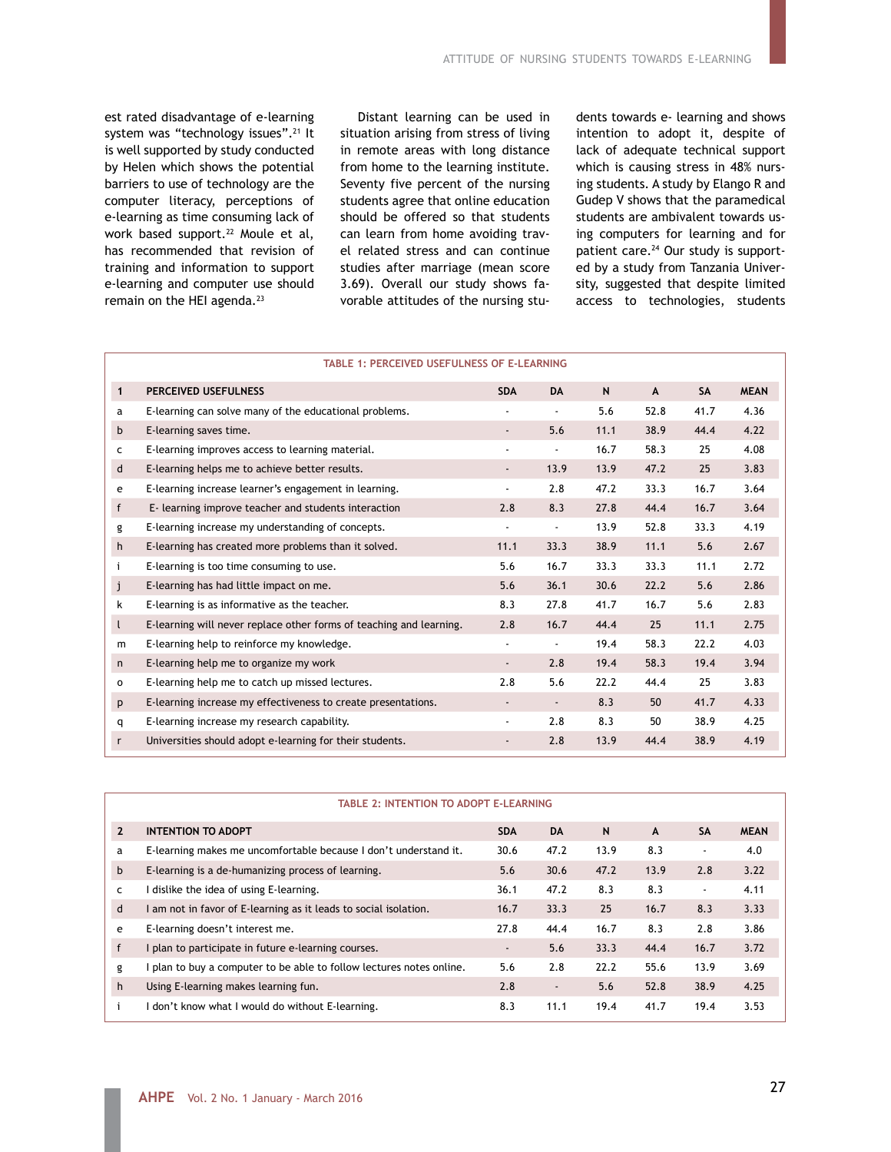est rated disadvantage of e-learning system was "technology issues".<sup>21</sup> It is well supported by study conducted by Helen which shows the potential barriers to use of technology are the computer literacy, perceptions of e-learning as time consuming lack of work based support.<sup>22</sup> Moule et al, has recommended that revision of training and information to support e-learning and computer use should remain on the HEI agenda.<sup>23</sup>

Distant learning can be used in situation arising from stress of living in remote areas with long distance from home to the learning institute. Seventy five percent of the nursing students agree that online education should be offered so that students can learn from home avoiding travel related stress and can continue studies after marriage (mean score 3.69). Overall our study shows favorable attitudes of the nursing students towards e- learning and shows intention to adopt it, despite of lack of adequate technical support which is causing stress in 48% nursing students. A study by Elango R and Gudep V shows that the paramedical students are ambivalent towards using computers for learning and for patient care.<sup>24</sup> Our study is supported by a study from Tanzania University, suggested that despite limited access to technologies, students

|              | <b>TABLE 1: PERCEIVED USEFULNESS OF E-LEARNING</b>                  |                              |                          |      |      |           |             |
|--------------|---------------------------------------------------------------------|------------------------------|--------------------------|------|------|-----------|-------------|
| $\mathbf{1}$ | <b>PERCEIVED USEFULNESS</b>                                         | <b>SDA</b>                   | <b>DA</b>                | N    | A    | <b>SA</b> | <b>MEAN</b> |
| а            | E-learning can solve many of the educational problems.              |                              | $\blacksquare$           | 5.6  | 52.8 | 41.7      | 4.36        |
| b            | E-learning saves time.                                              | $\blacksquare$               | 5.6                      | 11.1 | 38.9 | 44.4      | 4.22        |
| c            | E-learning improves access to learning material.                    | $\overline{\phantom{0}}$     | $\overline{\phantom{a}}$ | 16.7 | 58.3 | 25        | 4.08        |
| d            | E-learning helps me to achieve better results.                      | $\overline{\phantom{a}}$     | 13.9                     | 13.9 | 47.2 | 25        | 3.83        |
| e            | E-learning increase learner's engagement in learning.               | $\overline{\phantom{a}}$     | 2.8                      | 47.2 | 33.3 | 16.7      | 3.64        |
| $\mathsf{f}$ | E- learning improve teacher and students interaction                | 2.8                          | 8.3                      | 27.8 | 44.4 | 16.7      | 3.64        |
| g            | E-learning increase my understanding of concepts.                   | $\overline{\phantom{a}}$     | $\overline{\phantom{a}}$ | 13.9 | 52.8 | 33.3      | 4.19        |
| h            | E-learning has created more problems than it solved.                | 11.1                         | 33.3                     | 38.9 | 11.1 | 5.6       | 2.67        |
| i            | E-learning is too time consuming to use.                            | 5.6                          | 16.7                     | 33.3 | 33.3 | 11.1      | 2.72        |
| j            | E-learning has had little impact on me.                             | 5.6                          | 36.1                     | 30.6 | 22.2 | 5.6       | 2.86        |
| k            | E-learning is as informative as the teacher.                        | 8.3                          | 27.8                     | 41.7 | 16.7 | 5.6       | 2.83        |
| $\mathsf{L}$ | E-learning will never replace other forms of teaching and learning. | 2.8                          | 16.7                     | 44.4 | 25   | 11.1      | 2.75        |
| m            | E-learning help to reinforce my knowledge.                          | $\overline{\phantom{a}}$     | $\overline{\phantom{a}}$ | 19.4 | 58.3 | 22.2      | 4.03        |
| n            | E-learning help me to organize my work                              | $\qquad \qquad \blacksquare$ | 2.8                      | 19.4 | 58.3 | 19.4      | 3.94        |
| 0            | E-learning help me to catch up missed lectures.                     | 2.8                          | 5.6                      | 22.2 | 44.4 | 25        | 3.83        |
| p            | E-learning increase my effectiveness to create presentations.       | ۰                            | $\overline{\phantom{a}}$ | 8.3  | 50   | 41.7      | 4.33        |
| q            | E-learning increase my research capability.                         | $\overline{\phantom{0}}$     | 2.8                      | 8.3  | 50   | 38.9      | 4.25        |
| $\mathsf{r}$ | Universities should adopt e-learning for their students.            | $\overline{\phantom{a}}$     | 2.8                      | 13.9 | 44.4 | 38.9      | 4.19        |

|                | <b>TABLE 2: INTENTION TO ADOPT E-LEARNING</b>                      |                          |                          |      |      |                |             |  |  |
|----------------|--------------------------------------------------------------------|--------------------------|--------------------------|------|------|----------------|-------------|--|--|
| $\overline{2}$ | <b>INTENTION TO ADOPT</b>                                          | <b>SDA</b>               | <b>DA</b>                | N    | A    | <b>SA</b>      | <b>MEAN</b> |  |  |
| a              | E-learning makes me uncomfortable because I don't understand it.   | 30.6                     | 47.2                     | 13.9 | 8.3  | $\blacksquare$ | 4.0         |  |  |
| $\mathbf b$    | E-learning is a de-humanizing process of learning.                 | 5.6                      | 30.6                     | 47.2 | 13.9 | 2.8            | 3.22        |  |  |
| c              | dislike the idea of using E-learning.                              | 36.1                     | 47.2                     | 8.3  | 8.3  | $\blacksquare$ | 4.11        |  |  |
| d              | am not in favor of E-learning as it leads to social isolation.     | 16.7                     | 33.3                     | 25   | 16.7 | 8.3            | 3.33        |  |  |
| e              | E-learning doesn't interest me.                                    | 27.8                     | 44.4                     | 16.7 | 8.3  | 2.8            | 3.86        |  |  |
| $\mathsf{f}$   | I plan to participate in future e-learning courses.                | $\overline{\phantom{a}}$ | 5.6                      | 33.3 | 44.4 | 16.7           | 3.72        |  |  |
| g              | plan to buy a computer to be able to follow lectures notes online. | 5.6                      | 2.8                      | 22.2 | 55.6 | 13.9           | 3.69        |  |  |
| h              | Using E-learning makes learning fun.                               | 2.8                      | $\overline{\phantom{a}}$ | 5.6  | 52.8 | 38.9           | 4.25        |  |  |
|                | don't know what I would do without E-learning.                     | 8.3                      | 11.1                     | 19.4 | 41.7 | 19.4           | 3.53        |  |  |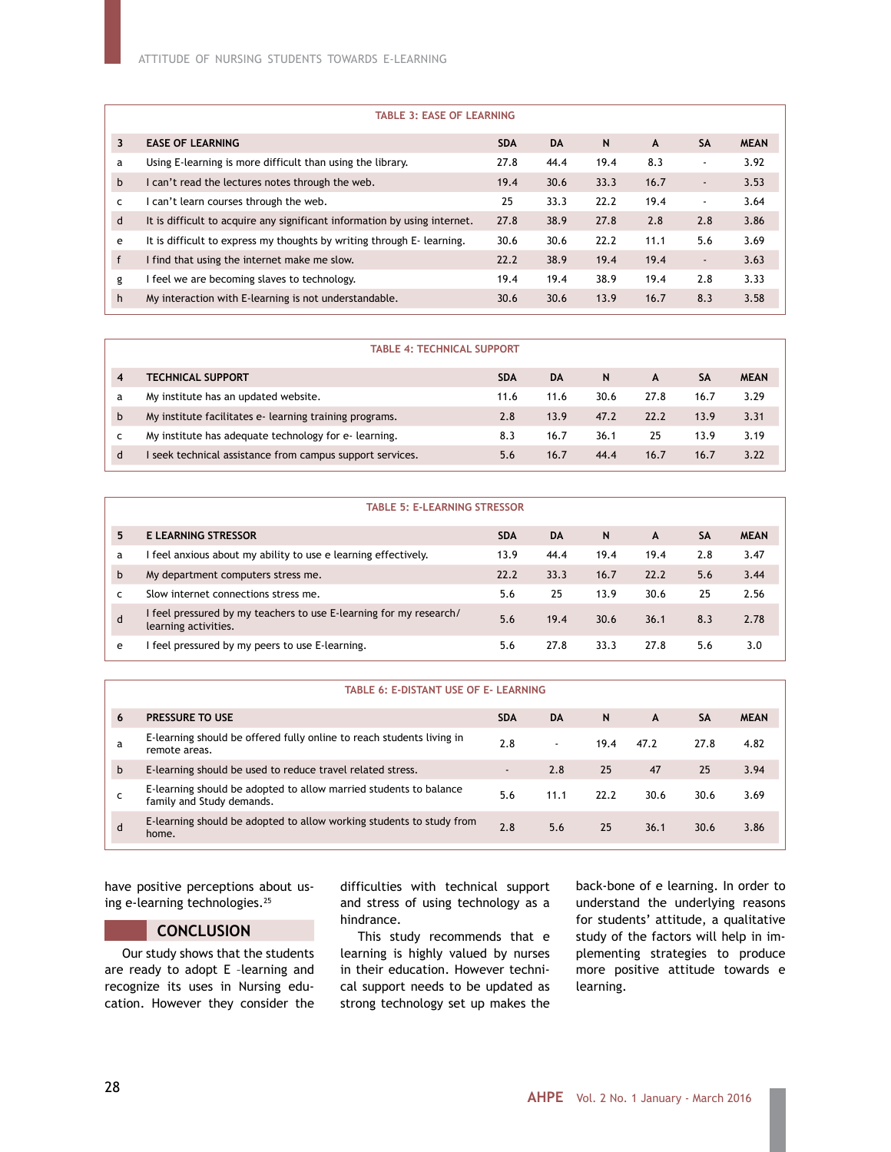#### **TABLE 3: EASE OF LEARNING**

| 3            | <b>EASE OF LEARNING</b>                                                   | <b>SDA</b> | <b>DA</b> | N    | A    | <b>SA</b>                | <b>MEAN</b> |
|--------------|---------------------------------------------------------------------------|------------|-----------|------|------|--------------------------|-------------|
| a            | Using E-learning is more difficult than using the library.                | 27.8       | 44.4      | 19.4 | 8.3  | $\overline{\phantom{a}}$ | 3.92        |
| b            | I can't read the lectures notes through the web.                          | 19.4       | 30.6      | 33.3 | 16.7 | $\overline{\phantom{a}}$ | 3.53        |
| c            | can't learn courses through the web.                                      | 25         | 33.3      | 22.2 | 19.4 | $\overline{\phantom{a}}$ | 3.64        |
| d            | It is difficult to acquire any significant information by using internet. | 27.8       | 38.9      | 27.8 | 2.8  | 2.8                      | 3.86        |
| e            | It is difficult to express my thoughts by writing through E-learning.     | 30.6       | 30.6      | 22.2 | 11.1 | 5.6                      | 3.69        |
| $\mathsf{f}$ | I find that using the internet make me slow.                              | 22.2       | 38.9      | 19.4 | 19.4 | $\overline{\phantom{a}}$ | 3.63        |
| g            | feel we are becoming slaves to technology.                                | 19.4       | 19.4      | 38.9 | 19.4 | 2.8                      | 3.33        |
| h            | My interaction with E-learning is not understandable.                     | 30.6       | 30.6      | 13.9 | 16.7 | 8.3                      | 3.58        |
|              |                                                                           |            |           |      |      |                          |             |

| <b>TABLE 4: TECHNICAL SUPPORT</b> |                                                         |            |      |      |      |      |             |  |
|-----------------------------------|---------------------------------------------------------|------------|------|------|------|------|-------------|--|
| 4                                 | TECHNICAL SUPPORT                                       | <b>SDA</b> | DA   | N    | A    | SΑ   | <b>MEAN</b> |  |
| a                                 | My institute has an updated website.                    | 11.6       | 11.6 | 30.6 | 27.8 | 16.7 | 3.29        |  |
| b                                 | My institute facilitates e-learning training programs.  | 2.8        | 13.9 | 47.2 | 22.2 | 13.9 | 3.31        |  |
| c                                 | My institute has adequate technology for e-learning.    | 8.3        | 16.7 | 36.1 | 25   | 13.9 | 3.19        |  |
| d                                 | seek technical assistance from campus support services. | 5.6        | 16.7 | 44.4 | 16.7 | 16.7 | 3.22        |  |

|   | <b>TABLE 5: E-LEARNING STRESSOR</b>                                                        |            |           |      |      |           |             |
|---|--------------------------------------------------------------------------------------------|------------|-----------|------|------|-----------|-------------|
| 5 | <b>E LEARNING STRESSOR</b>                                                                 | <b>SDA</b> | <b>DA</b> | N    | A    | <b>SA</b> | <b>MEAN</b> |
| a | feel anxious about my ability to use e learning effectively.                               | 13.9       | 44.4      | 19.4 | 19.4 | 2.8       | 3.47        |
| b | My department computers stress me.                                                         | 22.2       | 33.3      | 16.7 | 22.2 | 5.6       | 3.44        |
|   | Slow internet connections stress me.                                                       | 5.6        | 25        | 13.9 | 30.6 | 25        | 2.56        |
| d | I feel pressured by my teachers to use E-learning for my research/<br>learning activities. | 5.6        | 19.4      | 30.6 | 36.1 | 8.3       | 2.78        |
| e | feel pressured by my peers to use E-learning.                                              | 5.6        | 27.8      | 33.3 | 27.8 | 5.6       | 3.0         |

#### **TABLE 6: E-DISTANT USE OF E- LEARNING**

| 6 | <b>PRESSURE TO USE</b>                                                                         | <b>SDA</b>               | <b>DA</b>                | N    | A    | SΑ   | <b>MEAN</b> |
|---|------------------------------------------------------------------------------------------------|--------------------------|--------------------------|------|------|------|-------------|
| a | E-learning should be offered fully online to reach students living in<br>remote areas.         | 2.8                      | $\overline{\phantom{a}}$ | 19.4 | 47.2 | 27.8 | 4.82        |
| b | E-learning should be used to reduce travel related stress.                                     | $\overline{\phantom{a}}$ | 2.8                      | 25   | 47   | 25   | 3.94        |
|   | E-learning should be adopted to allow married students to balance<br>family and Study demands. | 5.6                      | 11.1                     | 22.2 | 30.6 | 30.6 | 3.69        |
| d | E-learning should be adopted to allow working students to study from<br>home.                  | 2.8                      | 5.6                      | 25   | 36.1 | 30.6 | 3.86        |

have positive perceptions about using e-learning technologies.<sup>25</sup>

## **CONCLUSION**

Our study shows that the students are ready to adopt E –learning and recognize its uses in Nursing education. However they consider the

difficulties with technical support and stress of using technology as a hindrance.

This study recommends that e learning is highly valued by nurses in their education. However technical support needs to be updated as strong technology set up makes the

back-bone of e learning. In order to understand the underlying reasons for students' attitude, a qualitative study of the factors will help in implementing strategies to produce more positive attitude towards e learning.